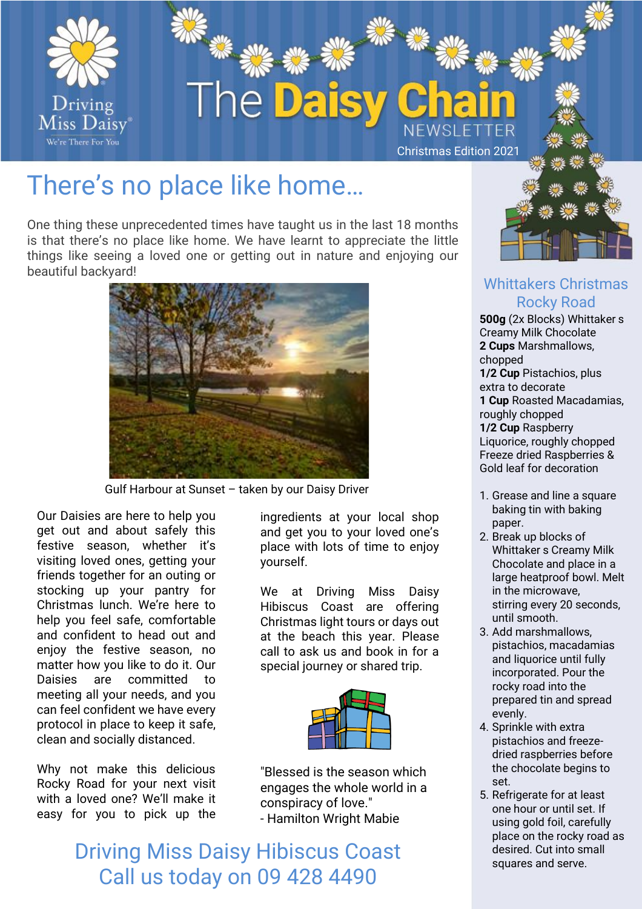

## There's no place like home…

One thing these unprecedented times have taught us in the last 18 months is that there's no place like home. We have learnt to appreciate the little things like seeing a loved one or getting out in nature and enjoying our beautiful backyard!



Gulf Harbour at Sunset – taken by our Daisy Driver

Our Daisies are here to help you get out and about safely this festive season, whether it's visiting loved ones, getting your friends together for an outing or stocking up your pantry for Christmas lunch. We're here to help you feel safe, comfortable and confident to head out and enjoy the festive season, no matter how you like to do it. Our Daisies are committed to meeting all your needs, and you can feel confident we have every protocol in place to keep it safe, clean and socially distanced.

Why not make this delicious Rocky Road for your next visit with a loved one? We'll make it easy for you to pick up the

ingredients at your local shop and get you to your loved one's place with lots of time to enjoy yourself.

We at Driving Miss Daisy Hibiscus Coast are offering Christmas light tours or days out at the beach this year. Please call to ask us and book in for a special journey or shared trip.



"Blessed is the season which engages the whole world in a conspiracy of love." - Hamilton Wright Mabie

Driving Miss Daisy Hibiscus Coast Call us today on 09 428 4490



#### Whittakers Christmas Rocky Road

**500g** (2x Blocks) Whittaker s Creamy Milk Chocolate **2 Cups** Marshmallows, chopped **1/2 Cup** Pistachios, plus extra to decorate **1 Cup** Roasted Macadamias, roughly chopped **1/2 Cup** Raspberry Liquorice, roughly chopped Freeze dried Raspberries & Gold leaf for decoration

- 1. Grease and line a square baking tin with baking paper.
- 2. Break up blocks of Whittaker s Creamy Milk Chocolate and place in a large heatproof bowl. Melt in the microwave, stirring every 20 seconds, until smooth.
- 3. Add marshmallows, pistachios, macadamias and liquorice until fully incorporated. Pour the rocky road into the prepared tin and spread evenly.
- 4. Sprinkle with extra pistachios and freezedried raspberries before the chocolate begins to set.
- 5. Refrigerate for at least one hour or until set. If using gold foil, carefully place on the rocky road as desired. Cut into small squares and serve.